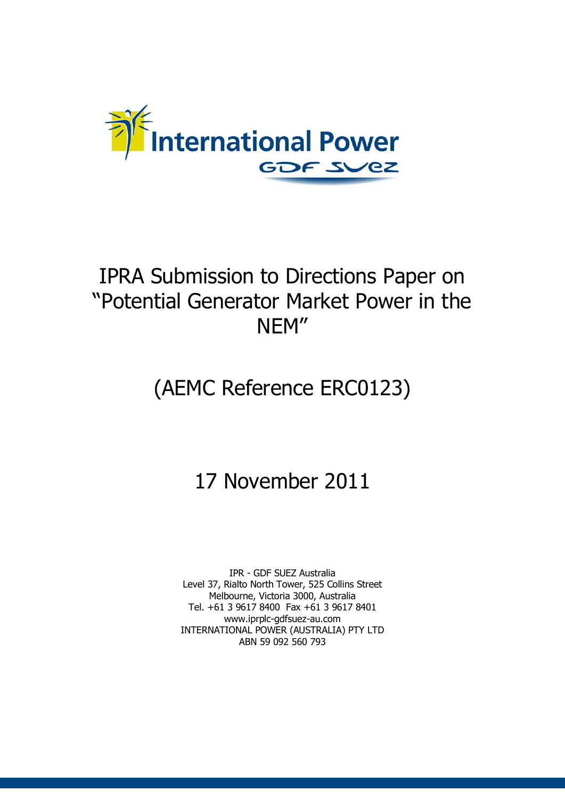

# IPRA Submission to Directions Paper on "Potential Generator Market Power in the NEM"

# (AEMC Reference ERC0123)

# 17 November 2011

IPR - GDF SUEZ Australia Level 37, Rialto North Tower, 525 Collins Street Melbourne, Victoria 3000, Australia Tel. +61 3 9617 8400 Fax +61 3 9617 8401 www.iprplc-gdfsuez-au.com INTERNATIONAL POWER (AUSTRALIA) PTY LTD ABN 59 092 560 793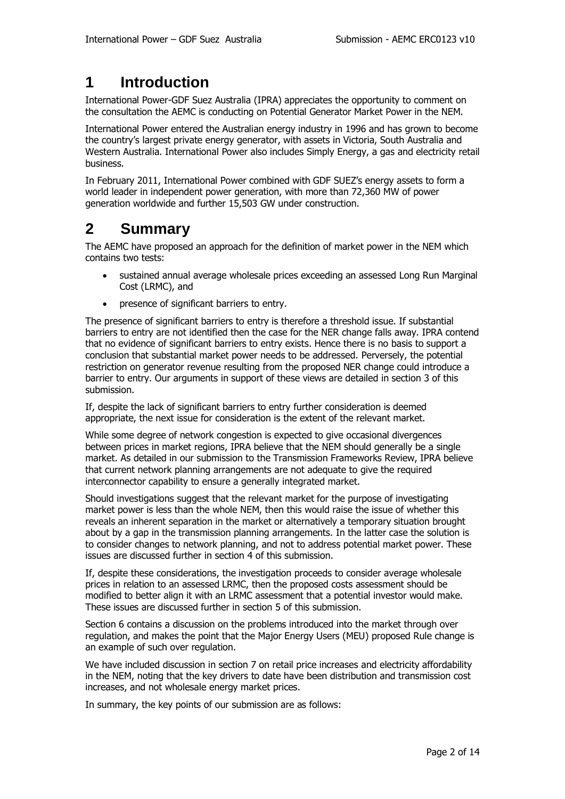## **1 Introduction**

International Power-GDF Suez Australia (IPRA) appreciates the opportunity to comment on the consultation the AEMC is conducting on Potential Generator Market Power in the NEM.

International Power entered the Australian energy industry in 1996 and has grown to become the country's largest private energy generator, with assets in Victoria, South Australia and Western Australia. International Power also includes Simply Energy, a gas and electricity retail business.

In February 2011, International Power combined with GDF SUEZ's energy assets to form a world leader in independent power generation, with more than 72,360 MW of power generation worldwide and further 15,503 GW under construction.

## **2 Summary**

The AEMC have proposed an approach for the definition of market power in the NEM which contains two tests:

- sustained annual average wholesale prices exceeding an assessed Long Run Marginal Cost (LRMC), and
- presence of significant barriers to entry.

The presence of significant barriers to entry is therefore a threshold issue. If substantial barriers to entry are not identified then the case for the NER change falls away. IPRA contend that no evidence of significant barriers to entry exists. Hence there is no basis to support a conclusion that substantial market power needs to be addressed. Perversely, the potential restriction on generator revenue resulting from the proposed NER change could introduce a barrier to entry. Our arguments in support of these views are detailed in section 3 of this submission.

If, despite the lack of significant barriers to entry further consideration is deemed appropriate, the next issue for consideration is the extent of the relevant market.

While some degree of network congestion is expected to give occasional divergences between prices in market regions, IPRA believe that the NEM should generally be a single market. As detailed in our submission to the Transmission Frameworks Review, IPRA believe that current network planning arrangements are not adequate to give the required interconnector capability to ensure a generally integrated market.

Should investigations suggest that the relevant market for the purpose of investigating market power is less than the whole NEM, then this would raise the issue of whether this reveals an inherent separation in the market or alternatively a temporary situation brought about by a gap in the transmission planning arrangements. In the latter case the solution is to consider changes to network planning, and not to address potential market power. These issues are discussed further in section 4 of this submission.

If, despite these considerations, the investigation proceeds to consider average wholesale prices in relation to an assessed LRMC, then the proposed costs assessment should be modified to better align it with an LRMC assessment that a potential investor would make. These issues are discussed further in section 5 of this submission.

Section 6 contains a discussion on the problems introduced into the market through over regulation, and makes the point that the Major Energy Users (MEU) proposed Rule change is an example of such over regulation.

We have included discussion in section 7 on retail price increases and electricity affordability in the NEM, noting that the key drivers to date have been distribution and transmission cost increases, and not wholesale energy market prices.

In summary, the key points of our submission are as follows: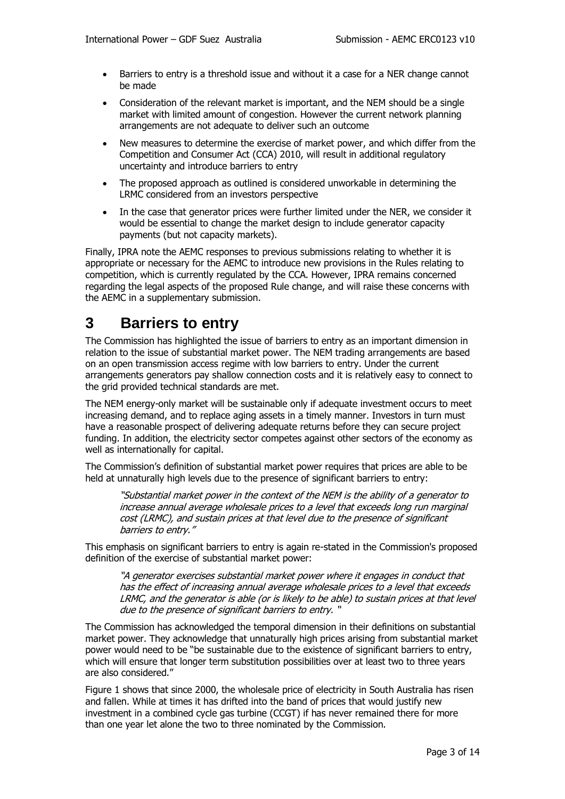- Barriers to entry is a threshold issue and without it a case for a NER change cannot be made
- Consideration of the relevant market is important, and the NEM should be a single market with limited amount of congestion. However the current network planning arrangements are not adequate to deliver such an outcome
- New measures to determine the exercise of market power, and which differ from the Competition and Consumer Act (CCA) 2010, will result in additional regulatory uncertainty and introduce barriers to entry
- The proposed approach as outlined is considered unworkable in determining the LRMC considered from an investors perspective
- In the case that generator prices were further limited under the NER, we consider it would be essential to change the market design to include generator capacity payments (but not capacity markets).

Finally, IPRA note the AEMC responses to previous submissions relating to whether it is appropriate or necessary for the AEMC to introduce new provisions in the Rules relating to competition, which is currently regulated by the CCA. However, IPRA remains concerned regarding the legal aspects of the proposed Rule change, and will raise these concerns with the AEMC in a supplementary submission.

## **3 Barriers to entry**

The Commission has highlighted the issue of barriers to entry as an important dimension in relation to the issue of substantial market power. The NEM trading arrangements are based on an open transmission access regime with low barriers to entry. Under the current arrangements generators pay shallow connection costs and it is relatively easy to connect to the grid provided technical standards are met.

The NEM energy-only market will be sustainable only if adequate investment occurs to meet increasing demand, and to replace aging assets in a timely manner. Investors in turn must have a reasonable prospect of delivering adequate returns before they can secure project funding. In addition, the electricity sector competes against other sectors of the economy as well as internationally for capital.

The Commission's definition of substantial market power requires that prices are able to be held at unnaturally high levels due to the presence of significant barriers to entry:

"Substantial market power in the context of the NEM is the ability of a generator to increase annual average wholesale prices to a level that exceeds long run marginal cost (LRMC), and sustain prices at that level due to the presence of significant barriers to entry."

This emphasis on significant barriers to entry is again re-stated in the Commission's proposed definition of the exercise of substantial market power:

"A generator exercises substantial market power where it engages in conduct that has the effect of increasing annual average wholesale prices to a level that exceeds LRMC, and the generator is able (or is likely to be able) to sustain prices at that level due to the presence of significant barriers to entry. "

The Commission has acknowledged the temporal dimension in their definitions on substantial market power. They acknowledge that unnaturally high prices arising from substantial market power would need to be "be sustainable due to the existence of significant barriers to entry, which will ensure that longer term substitution possibilities over at least two to three years are also considered."

Figure 1 shows that since 2000, the wholesale price of electricity in South Australia has risen and fallen. While at times it has drifted into the band of prices that would justify new investment in a combined cycle gas turbine (CCGT) if has never remained there for more than one year let alone the two to three nominated by the Commission.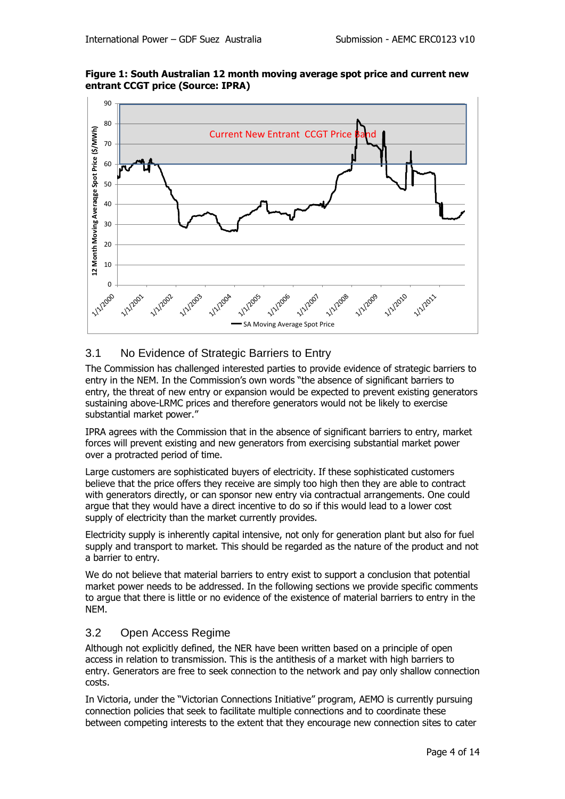



## 3.1 No Evidence of Strategic Barriers to Entry

The Commission has challenged interested parties to provide evidence of strategic barriers to entry in the NEM. In the Commission's own words "the absence of significant barriers to entry, the threat of new entry or expansion would be expected to prevent existing generators sustaining above-LRMC prices and therefore generators would not be likely to exercise substantial market power."

IPRA agrees with the Commission that in the absence of significant barriers to entry, market forces will prevent existing and new generators from exercising substantial market power over a protracted period of time.

Large customers are sophisticated buyers of electricity. If these sophisticated customers believe that the price offers they receive are simply too high then they are able to contract with generators directly, or can sponsor new entry via contractual arrangements. One could argue that they would have a direct incentive to do so if this would lead to a lower cost supply of electricity than the market currently provides.

Electricity supply is inherently capital intensive, not only for generation plant but also for fuel supply and transport to market. This should be regarded as the nature of the product and not a barrier to entry.

We do not believe that material barriers to entry exist to support a conclusion that potential market power needs to be addressed. In the following sections we provide specific comments to argue that there is little or no evidence of the existence of material barriers to entry in the NEM.

### 3.2 Open Access Regime

Although not explicitly defined, the NER have been written based on a principle of open access in relation to transmission. This is the antithesis of a market with high barriers to entry. Generators are free to seek connection to the network and pay only shallow connection costs.

In Victoria, under the "Victorian Connections Initiative" program, AEMO is currently pursuing connection policies that seek to facilitate multiple connections and to coordinate these between competing interests to the extent that they encourage new connection sites to cater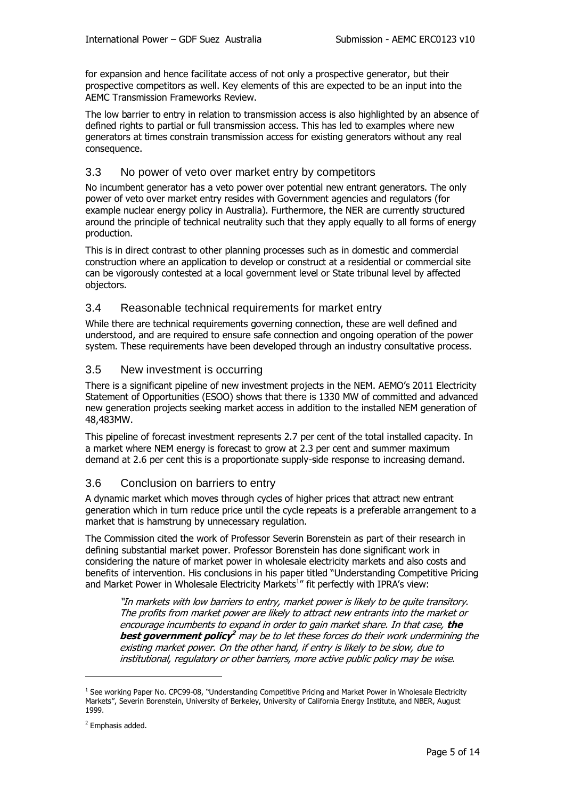for expansion and hence facilitate access of not only a prospective generator, but their prospective competitors as well. Key elements of this are expected to be an input into the AEMC Transmission Frameworks Review.

The low barrier to entry in relation to transmission access is also highlighted by an absence of defined rights to partial or full transmission access. This has led to examples where new generators at times constrain transmission access for existing generators without any real consequence.

## 3.3 No power of veto over market entry by competitors

No incumbent generator has a veto power over potential new entrant generators. The only power of veto over market entry resides with Government agencies and regulators (for example nuclear energy policy in Australia). Furthermore, the NER are currently structured around the principle of technical neutrality such that they apply equally to all forms of energy production.

This is in direct contrast to other planning processes such as in domestic and commercial construction where an application to develop or construct at a residential or commercial site can be vigorously contested at a local government level or State tribunal level by affected objectors.

## 3.4 Reasonable technical requirements for market entry

While there are technical requirements governing connection, these are well defined and understood, and are required to ensure safe connection and ongoing operation of the power system. These requirements have been developed through an industry consultative process.

## 3.5 New investment is occurring

There is a significant pipeline of new investment projects in the NEM. AEMO's 2011 Electricity Statement of Opportunities (ESOO) shows that there is 1330 MW of committed and advanced new generation projects seeking market access in addition to the installed NEM generation of 48,483MW.

This pipeline of forecast investment represents 2.7 per cent of the total installed capacity. In a market where NEM energy is forecast to grow at 2.3 per cent and summer maximum demand at 2.6 per cent this is a proportionate supply-side response to increasing demand.

### 3.6 Conclusion on barriers to entry

A dynamic market which moves through cycles of higher prices that attract new entrant generation which in turn reduce price until the cycle repeats is a preferable arrangement to a market that is hamstrung by unnecessary regulation.

The Commission cited the work of Professor Severin Borenstein as part of their research in defining substantial market power. Professor Borenstein has done significant work in considering the nature of market power in wholesale electricity markets and also costs and benefits of intervention. His conclusions in his paper titled "Understanding Competitive Pricing and Market Power in Wholesale Electricity Markets<sup>1</sup>" fit perfectly with IPRA's view:

"In markets with low barriers to entry, market power is likely to be quite transitory. The profits from market power are likely to attract new entrants into the market or encourage incumbents to expand in order to gain market share. In that case, **the best government policy <sup>2</sup>** may be to let these forces do their work undermining the existing market power. On the other hand, if entry is likely to be slow, due to institutional, regulatory or other barriers, more active public policy may be wise.

-

<sup>&</sup>lt;sup>1</sup> See working Paper No. CPC99-08, "Understanding Competitive Pricing and Market Power in Wholesale Electricity Markets", Severin Borenstein, University of Berkeley, University of California Energy Institute, and NBER, August 1999.

<sup>&</sup>lt;sup>2</sup> Emphasis added.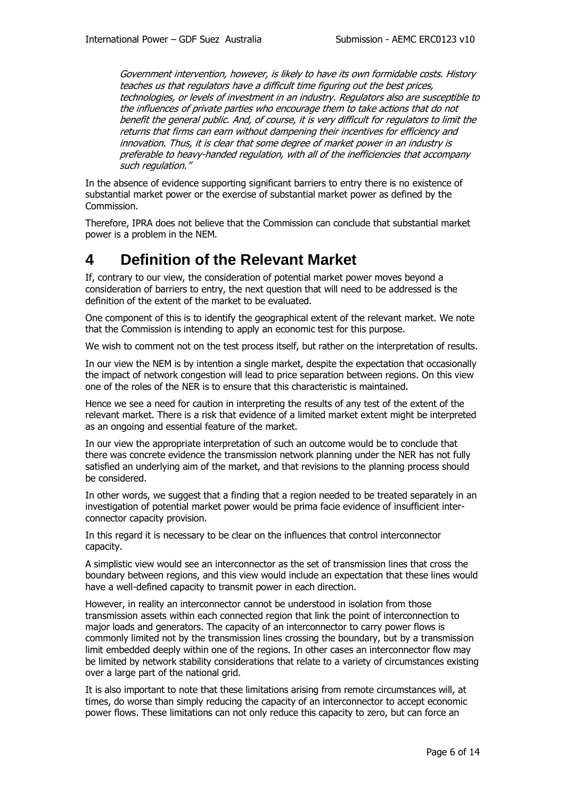Government intervention, however, is likely to have its own formidable costs. History teaches us that regulators have a difficult time figuring out the best prices, technologies, or levels of investment in an industry. Regulators also are susceptible to the influences of private parties who encourage them to take actions that do not benefit the general public. And, of course, it is very difficult for regulators to limit the returns that firms can earn without dampening their incentives for efficiency and innovation. Thus, it is clear that some degree of market power in an industry is preferable to heavy-handed regulation, with all of the inefficiencies that accompany such regulation."

In the absence of evidence supporting significant barriers to entry there is no existence of substantial market power or the exercise of substantial market power as defined by the Commission.

Therefore, IPRA does not believe that the Commission can conclude that substantial market power is a problem in the NEM.

## **4 Definition of the Relevant Market**

If, contrary to our view, the consideration of potential market power moves beyond a consideration of barriers to entry, the next question that will need to be addressed is the definition of the extent of the market to be evaluated.

One component of this is to identify the geographical extent of the relevant market. We note that the Commission is intending to apply an economic test for this purpose.

We wish to comment not on the test process itself, but rather on the interpretation of results.

In our view the NEM is by intention a single market, despite the expectation that occasionally the impact of network congestion will lead to price separation between regions. On this view one of the roles of the NER is to ensure that this characteristic is maintained.

Hence we see a need for caution in interpreting the results of any test of the extent of the relevant market. There is a risk that evidence of a limited market extent might be interpreted as an ongoing and essential feature of the market.

In our view the appropriate interpretation of such an outcome would be to conclude that there was concrete evidence the transmission network planning under the NER has not fully satisfied an underlying aim of the market, and that revisions to the planning process should be considered.

In other words, we suggest that a finding that a region needed to be treated separately in an investigation of potential market power would be prima facie evidence of insufficient interconnector capacity provision.

In this regard it is necessary to be clear on the influences that control interconnector capacity.

A simplistic view would see an interconnector as the set of transmission lines that cross the boundary between regions, and this view would include an expectation that these lines would have a well-defined capacity to transmit power in each direction.

However, in reality an interconnector cannot be understood in isolation from those transmission assets within each connected region that link the point of interconnection to major loads and generators. The capacity of an interconnector to carry power flows is commonly limited not by the transmission lines crossing the boundary, but by a transmission limit embedded deeply within one of the regions. In other cases an interconnector flow may be limited by network stability considerations that relate to a variety of circumstances existing over a large part of the national grid.

It is also important to note that these limitations arising from remote circumstances will, at times, do worse than simply reducing the capacity of an interconnector to accept economic power flows. These limitations can not only reduce this capacity to zero, but can force an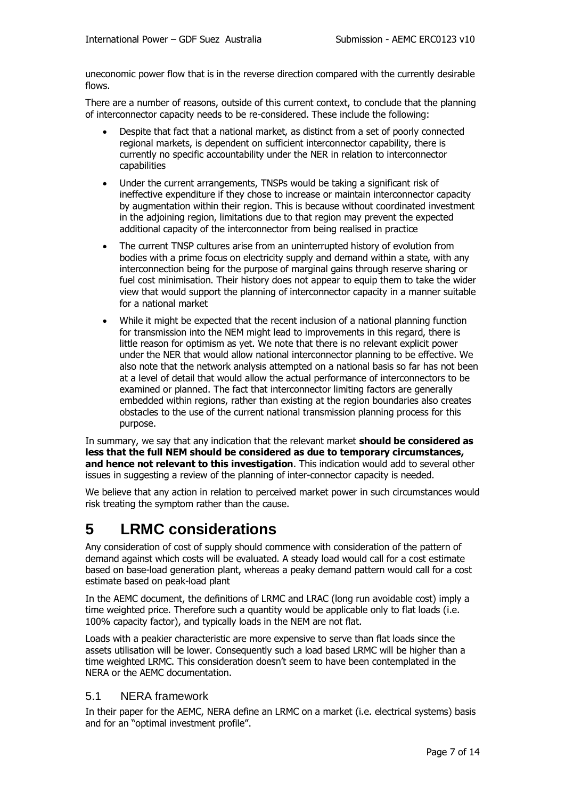uneconomic power flow that is in the reverse direction compared with the currently desirable flows.

There are a number of reasons, outside of this current context, to conclude that the planning of interconnector capacity needs to be re-considered. These include the following:

- Despite that fact that a national market, as distinct from a set of poorly connected regional markets, is dependent on sufficient interconnector capability, there is currently no specific accountability under the NER in relation to interconnector capabilities
- Under the current arrangements, TNSPs would be taking a significant risk of ineffective expenditure if they chose to increase or maintain interconnector capacity by augmentation within their region. This is because without coordinated investment in the adjoining region, limitations due to that region may prevent the expected additional capacity of the interconnector from being realised in practice
- The current TNSP cultures arise from an uninterrupted history of evolution from bodies with a prime focus on electricity supply and demand within a state, with any interconnection being for the purpose of marginal gains through reserve sharing or fuel cost minimisation. Their history does not appear to equip them to take the wider view that would support the planning of interconnector capacity in a manner suitable for a national market
- While it might be expected that the recent inclusion of a national planning function for transmission into the NEM might lead to improvements in this regard, there is little reason for optimism as yet. We note that there is no relevant explicit power under the NER that would allow national interconnector planning to be effective. We also note that the network analysis attempted on a national basis so far has not been at a level of detail that would allow the actual performance of interconnectors to be examined or planned. The fact that interconnector limiting factors are generally embedded within regions, rather than existing at the region boundaries also creates obstacles to the use of the current national transmission planning process for this purpose.

In summary, we say that any indication that the relevant market **should be considered as less that the full NEM should be considered as due to temporary circumstances, and hence not relevant to this investigation**. This indication would add to several other issues in suggesting a review of the planning of inter-connector capacity is needed.

We believe that any action in relation to perceived market power in such circumstances would risk treating the symptom rather than the cause.

## **5 LRMC considerations**

Any consideration of cost of supply should commence with consideration of the pattern of demand against which costs will be evaluated. A steady load would call for a cost estimate based on base-load generation plant, whereas a peaky demand pattern would call for a cost estimate based on peak-load plant

In the AEMC document, the definitions of LRMC and LRAC (long run avoidable cost) imply a time weighted price. Therefore such a quantity would be applicable only to flat loads (i.e. 100% capacity factor), and typically loads in the NEM are not flat.

Loads with a peakier characteristic are more expensive to serve than flat loads since the assets utilisation will be lower. Consequently such a load based LRMC will be higher than a time weighted LRMC. This consideration doesn't seem to have been contemplated in the NERA or the AEMC documentation.

### 5.1 NERA framework

In their paper for the AEMC, NERA define an LRMC on a market (i.e. electrical systems) basis and for an "optimal investment profile".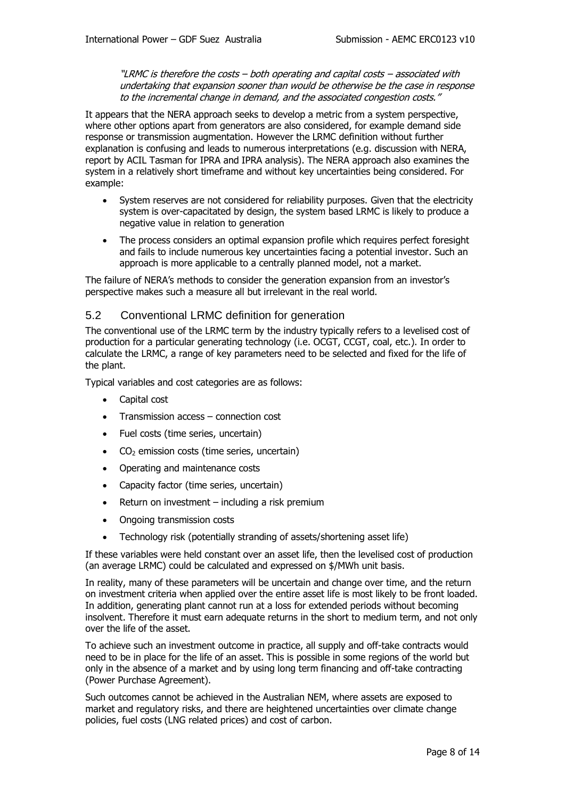"LRMC is therefore the costs – both operating and capital costs – associated with undertaking that expansion sooner than would be otherwise be the case in response to the incremental change in demand, and the associated congestion costs."

It appears that the NERA approach seeks to develop a metric from a system perspective, where other options apart from generators are also considered, for example demand side response or transmission augmentation. However the LRMC definition without further explanation is confusing and leads to numerous interpretations (e.g. discussion with NERA, report by ACIL Tasman for IPRA and IPRA analysis). The NERA approach also examines the system in a relatively short timeframe and without key uncertainties being considered. For example:

- System reserves are not considered for reliability purposes. Given that the electricity system is over-capacitated by design, the system based LRMC is likely to produce a negative value in relation to generation
- The process considers an optimal expansion profile which requires perfect foresight and fails to include numerous key uncertainties facing a potential investor. Such an approach is more applicable to a centrally planned model, not a market.

The failure of NERA's methods to consider the generation expansion from an investor's perspective makes such a measure all but irrelevant in the real world.

### 5.2 Conventional LRMC definition for generation

The conventional use of the LRMC term by the industry typically refers to a levelised cost of production for a particular generating technology (i.e. OCGT, CCGT, coal, etc.). In order to calculate the LRMC, a range of key parameters need to be selected and fixed for the life of the plant.

Typical variables and cost categories are as follows:

- Capital cost
- Transmission access connection cost
- Fuel costs (time series, uncertain)
- $CO<sub>2</sub>$  emission costs (time series, uncertain)
- Operating and maintenance costs
- Capacity factor (time series, uncertain)
- Return on investment including a risk premium
- Ongoing transmission costs
- Technology risk (potentially stranding of assets/shortening asset life)

If these variables were held constant over an asset life, then the levelised cost of production (an average LRMC) could be calculated and expressed on \$/MWh unit basis.

In reality, many of these parameters will be uncertain and change over time, and the return on investment criteria when applied over the entire asset life is most likely to be front loaded. In addition, generating plant cannot run at a loss for extended periods without becoming insolvent. Therefore it must earn adequate returns in the short to medium term, and not only over the life of the asset.

To achieve such an investment outcome in practice, all supply and off-take contracts would need to be in place for the life of an asset. This is possible in some regions of the world but only in the absence of a market and by using long term financing and off-take contracting (Power Purchase Agreement).

Such outcomes cannot be achieved in the Australian NEM, where assets are exposed to market and regulatory risks, and there are heightened uncertainties over climate change policies, fuel costs (LNG related prices) and cost of carbon.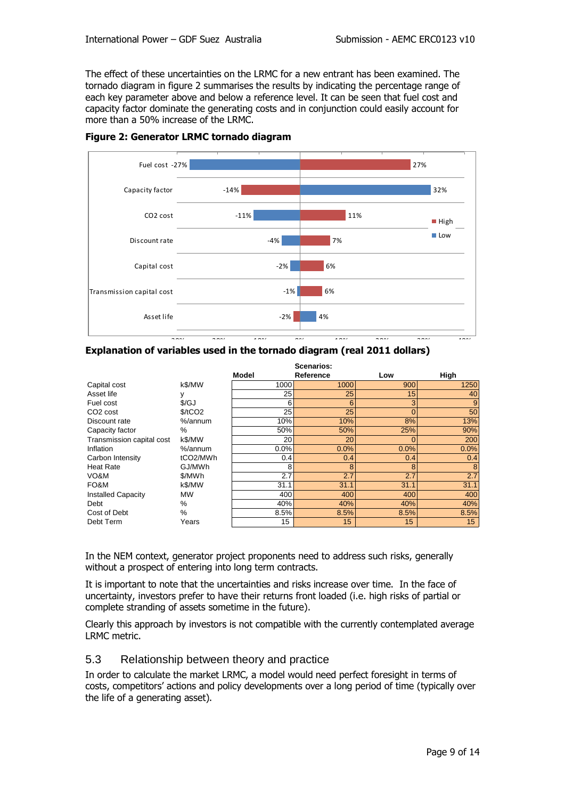The effect of these uncertainties on the LRMC for a new entrant has been examined. The tornado diagram in figure 2 summarises the results by indicating the percentage range of each key parameter above and below a reference level. It can be seen that fuel cost and capacity factor dominate the generating costs and in conjunction could easily account for more than a 50% increase of the LRMC.



#### **Figure 2: Generator LRMC tornado diagram**

|                           | Scenarios:            |       |                 |              |                 |
|---------------------------|-----------------------|-------|-----------------|--------------|-----------------|
|                           |                       | Model | Reference       | Low          | High            |
| Capital cost              | k\$/MW                | 1000  | 1000            | 900          | 1250            |
| Asset life                | у                     | 25    | 25              | 15           | 40              |
| Fuel cost                 | $\frac{f}{G}$         | 6     | 6               | 3            | 9               |
| CO <sub>2</sub> cost      | \$/tCO2               | 25    | 25              | $\mathbf{0}$ | 50              |
| Discount rate             | %/annum               | 10%   | 10%             | 8%           | 13%             |
| Capacity factor           | $\%$                  | 50%   | 50%             | 25%          | 90%             |
| Transmission capital cost | k\$/MW                | 20    | 20              | 0            | 200             |
| Inflation                 | %/annum               | 0.0%  | 0.0%            | 0.0%         | 0.0%            |
| Carbon Intensity          | tCO <sub>2</sub> /MWh | 0.4   | 0.4             | 0.4          | 0.4             |
| <b>Heat Rate</b>          | GJ/MWh                | 8     | 8               | 8            | 8               |
| VO&M                      | \$/MWh                | 2.7   | 2.7             | 2.7          | 2.7             |
| FO&M                      | k\$/MW                | 31.1  | 31.1            | 31.1         | 31.1            |
| <b>Installed Capacity</b> | <b>MW</b>             | 400   | 400             | 400          | 400             |
| Debt                      | %                     | 40%   | 40%             | 40%          | 40%             |
| Cost of Debt              | %                     | 8.5%  | 8.5%            | 8.5%         | 8.5%            |
| Debt Term                 | Years                 | 15    | 15 <sub>2</sub> | 15           | 15 <sub>1</sub> |

In the NEM context, generator project proponents need to address such risks, generally without a prospect of entering into long term contracts.

It is important to note that the uncertainties and risks increase over time. In the face of uncertainty, investors prefer to have their returns front loaded (i.e. high risks of partial or complete stranding of assets sometime in the future).

Clearly this approach by investors is not compatible with the currently contemplated average LRMC metric.

#### 5.3 Relationship between theory and practice

In order to calculate the market LRMC, a model would need perfect foresight in terms of costs, competitors' actions and policy developments over a long period of time (typically over the life of a generating asset).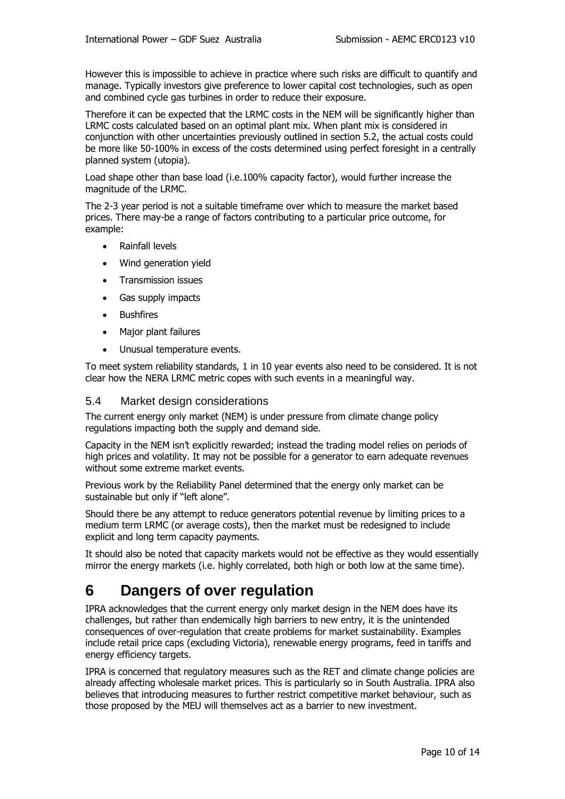However this is impossible to achieve in practice where such risks are difficult to quantify and manage. Typically investors give preference to lower capital cost technologies, such as open and combined cycle gas turbines in order to reduce their exposure.

Therefore it can be expected that the LRMC costs in the NEM will be significantly higher than LRMC costs calculated based on an optimal plant mix. When plant mix is considered in conjunction with other uncertainties previously outlined in section 5.2, the actual costs could be more like 50-100% in excess of the costs determined using perfect foresight in a centrally planned system (utopia).

Load shape other than base load (i.e.100% capacity factor), would further increase the magnitude of the LRMC.

The 2-3 year period is not a suitable timeframe over which to measure the market based prices. There may-be a range of factors contributing to a particular price outcome, for example:

- Rainfall levels
- Wind generation yield
- **•** Transmission issues
- Gas supply impacts
- **•** Bushfires
- Major plant failures
- Unusual temperature events.

To meet system reliability standards, 1 in 10 year events also need to be considered. It is not clear how the NERA LRMC metric copes with such events in a meaningful way.

#### 5.4 Market design considerations

The current energy only market (NEM) is under pressure from climate change policy regulations impacting both the supply and demand side.

Capacity in the NEM isn't explicitly rewarded; instead the trading model relies on periods of high prices and volatility. It may not be possible for a generator to earn adequate revenues without some extreme market events.

Previous work by the Reliability Panel determined that the energy only market can be sustainable but only if "left alone".

Should there be any attempt to reduce generators potential revenue by limiting prices to a medium term LRMC (or average costs), then the market must be redesigned to include explicit and long term capacity payments.

It should also be noted that capacity markets would not be effective as they would essentially mirror the energy markets (i.e. highly correlated, both high or both low at the same time).

## **6 Dangers of over regulation**

IPRA acknowledges that the current energy only market design in the NEM does have its challenges, but rather than endemically high barriers to new entry, it is the unintended consequences of over-regulation that create problems for market sustainability. Examples include retail price caps (excluding Victoria), renewable energy programs, feed in tariffs and energy efficiency targets.

IPRA is concerned that regulatory measures such as the RET and climate change policies are already affecting wholesale market prices. This is particularly so in South Australia. IPRA also believes that introducing measures to further restrict competitive market behaviour, such as those proposed by the MEU will themselves act as a barrier to new investment.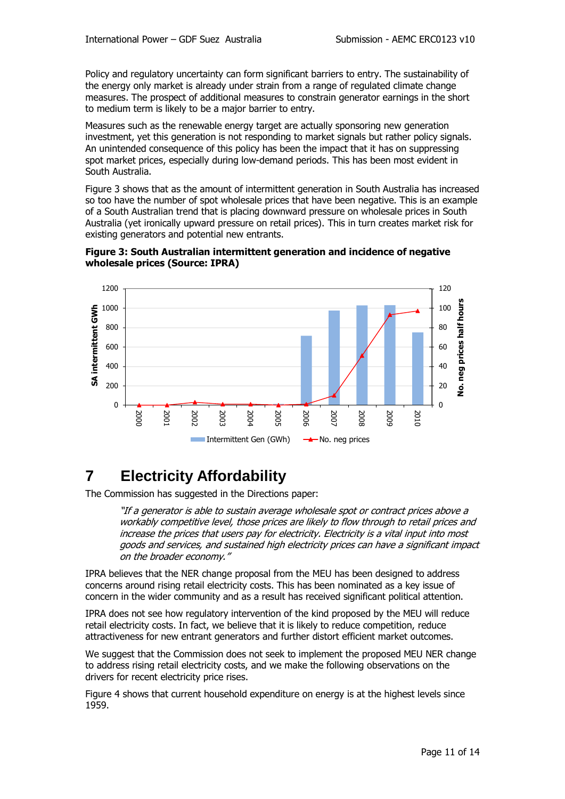Policy and regulatory uncertainty can form significant barriers to entry. The sustainability of the energy only market is already under strain from a range of regulated climate change measures. The prospect of additional measures to constrain generator earnings in the short to medium term is likely to be a major barrier to entry.

Measures such as the renewable energy target are actually sponsoring new generation investment, yet this generation is not responding to market signals but rather policy signals. An unintended consequence of this policy has been the impact that it has on suppressing spot market prices, especially during low-demand periods. This has been most evident in South Australia.

Figure 3 shows that as the amount of intermittent generation in South Australia has increased so too have the number of spot wholesale prices that have been negative. This is an example of a South Australian trend that is placing downward pressure on wholesale prices in South Australia (yet ironically upward pressure on retail prices). This in turn creates market risk for existing generators and potential new entrants.





## **7 Electricity Affordability**

The Commission has suggested in the Directions paper:

"If a generator is able to sustain average wholesale spot or contract prices above a workably competitive level, those prices are likely to flow through to retail prices and increase the prices that users pay for electricity. Electricity is a vital input into most goods and services, and sustained high electricity prices can have a significant impact on the broader economy."

IPRA believes that the NER change proposal from the MEU has been designed to address concerns around rising retail electricity costs. This has been nominated as a key issue of concern in the wider community and as a result has received significant political attention.

IPRA does not see how regulatory intervention of the kind proposed by the MEU will reduce retail electricity costs. In fact, we believe that it is likely to reduce competition, reduce attractiveness for new entrant generators and further distort efficient market outcomes.

We suggest that the Commission does not seek to implement the proposed MEU NER change to address rising retail electricity costs, and we make the following observations on the drivers for recent electricity price rises.

Figure 4 shows that current household expenditure on energy is at the highest levels since 1959.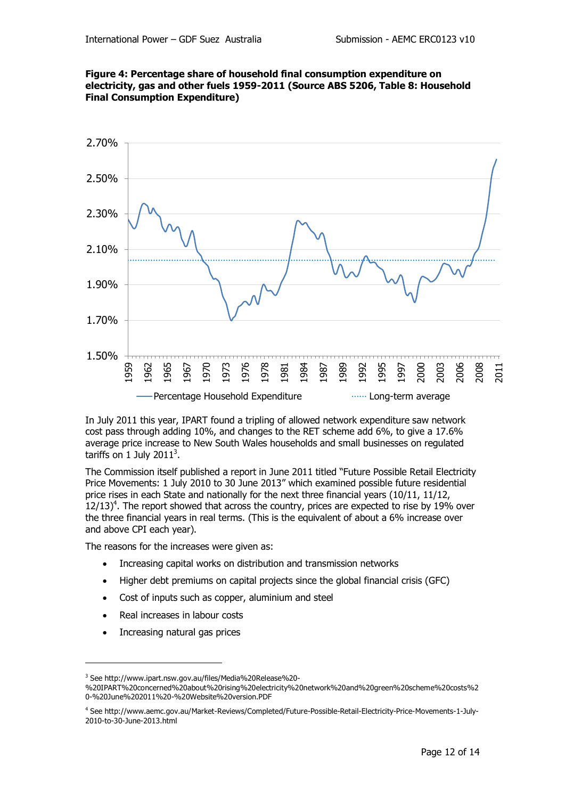



In July 2011 this year, IPART found a tripling of allowed network expenditure saw network cost pass through adding 10%, and changes to the RET scheme add 6%, to give a 17.6% average price increase to New South Wales households and small businesses on regulated tariffs on 1 July 2011 $^3$ .

The Commission itself published a report in June 2011 titled "Future Possible Retail Electricity Price Movements: 1 July 2010 to 30 June 2013" which examined possible future residential price rises in each State and nationally for the next three financial years (10/11, 11/12,  $12/13$ <sup>4</sup>. The report showed that across the country, prices are expected to rise by 19% over the three financial years in real terms. (This is the equivalent of about a 6% increase over and above CPI each year).

The reasons for the increases were given as:

- Increasing capital works on distribution and transmission networks
- Higher debt premiums on capital projects since the global financial crisis (GFC)
- Cost of inputs such as copper, aluminium and steel
- Real increases in labour costs
- Increasing natural gas prices

-

<sup>3</sup> See http://www.ipart.nsw.gov.au/files/Media%20Release%20-

<sup>%20</sup>IPART%20concerned%20about%20rising%20electricity%20network%20and%20green%20scheme%20costs%2 0-%20June%202011%20-%20Website%20version.PDF

<sup>4</sup> See http://www.aemc.gov.au/Market-Reviews/Completed/Future-Possible-Retail-Electricity-Price-Movements-1-July-2010-to-30-June-2013.html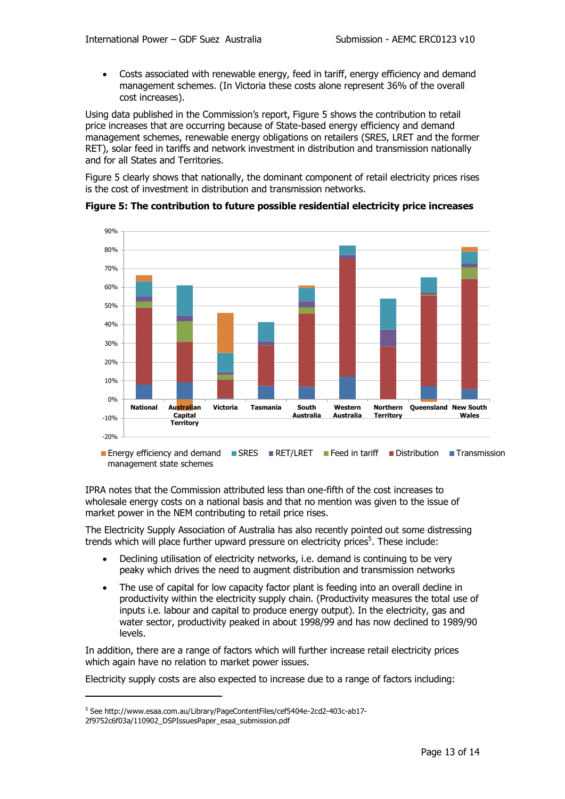Costs associated with renewable energy, feed in tariff, energy efficiency and demand management schemes. (In Victoria these costs alone represent 36% of the overall cost increases).

Using data published in the Commission's report, Figure 5 shows the contribution to retail price increases that are occurring because of State-based energy efficiency and demand management schemes, renewable energy obligations on retailers (SRES, LRET and the former RET), solar feed in tariffs and network investment in distribution and transmission nationally and for all States and Territories.

Figure 5 clearly shows that nationally, the dominant component of retail electricity prices rises is the cost of investment in distribution and transmission networks.



Energy efficiency and demand SRES RET/LRET Feed in tariff Distribution Fransmission management state schemes

IPRA notes that the Commission attributed less than one-fifth of the cost increases to wholesale energy costs on a national basis and that no mention was given to the issue of market power in the NEM contributing to retail price rises.

The Electricity Supply Association of Australia has also recently pointed out some distressing trends which will place further upward pressure on electricity prices<sup>5</sup>. These include:

- Declining utilisation of electricity networks, i.e. demand is continuing to be very peaky which drives the need to augment distribution and transmission networks
- The use of capital for low capacity factor plant is feeding into an overall decline in productivity within the electricity supply chain. (Productivity measures the total use of inputs i.e. labour and capital to produce energy output). In the electricity, gas and water sector, productivity peaked in about 1998/99 and has now declined to 1989/90 levels.

In addition, there are a range of factors which will further increase retail electricity prices which again have no relation to market power issues.

Electricity supply costs are also expected to increase due to a range of factors including:

-

<sup>5</sup> See http://www.esaa.com.au/Library/PageContentFiles/cef5404e-2cd2-403c-ab17-

<sup>2</sup>f9752c6f03a/110902\_DSPIssuesPaper\_esaa\_submission.pdf